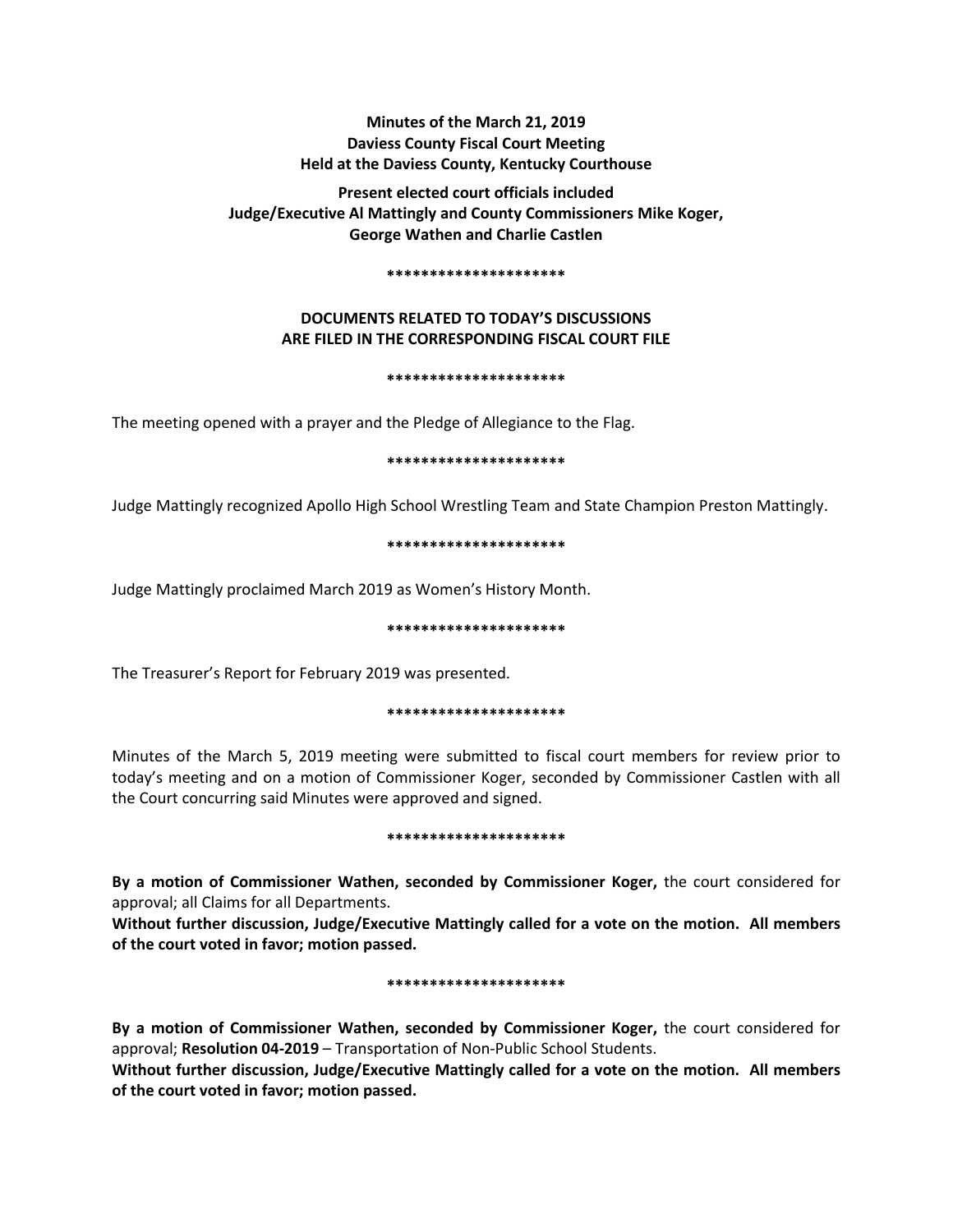# **Minutes of the March 21, 2019 Daviess County Fiscal Court Meeting Held at the Daviess County, Kentucky Courthouse**

**Present elected court officials included Judge/Executive Al Mattingly and County Commissioners Mike Koger, George Wathen and Charlie Castlen** 

### **\*\*\*\*\*\*\*\*\*\*\*\*\*\*\*\*\*\*\*\*\***

# **DOCUMENTS RELATED TO TODAY'S DISCUSSIONS ARE FILED IN THE CORRESPONDING FISCAL COURT FILE**

## **\*\*\*\*\*\*\*\*\*\*\*\*\*\*\*\*\*\*\*\*\***

The meeting opened with a prayer and the Pledge of Allegiance to the Flag.

## **\*\*\*\*\*\*\*\*\*\*\*\*\*\*\*\*\*\*\*\*\***

Judge Mattingly recognized Apollo High School Wrestling Team and State Champion Preston Mattingly.

## **\*\*\*\*\*\*\*\*\*\*\*\*\*\*\*\*\*\*\*\*\***

Judge Mattingly proclaimed March 2019 as Women's History Month.

## **\*\*\*\*\*\*\*\*\*\*\*\*\*\*\*\*\*\*\*\*\***

The Treasurer's Report for February 2019 was presented.

## **\*\*\*\*\*\*\*\*\*\*\*\*\*\*\*\*\*\*\*\*\***

Minutes of the March 5, 2019 meeting were submitted to fiscal court members for review prior to today's meeting and on a motion of Commissioner Koger, seconded by Commissioner Castlen with all the Court concurring said Minutes were approved and signed.

## **\*\*\*\*\*\*\*\*\*\*\*\*\*\*\*\*\*\*\*\*\***

**By a motion of Commissioner Wathen, seconded by Commissioner Koger,** the court considered for approval; all Claims for all Departments.

**Without further discussion, Judge/Executive Mattingly called for a vote on the motion. All members of the court voted in favor; motion passed.** 

## **\*\*\*\*\*\*\*\*\*\*\*\*\*\*\*\*\*\*\*\*\***

**By a motion of Commissioner Wathen, seconded by Commissioner Koger,** the court considered for approval; **Resolution 04-2019** – Transportation of Non-Public School Students.

**Without further discussion, Judge/Executive Mattingly called for a vote on the motion. All members of the court voted in favor; motion passed.**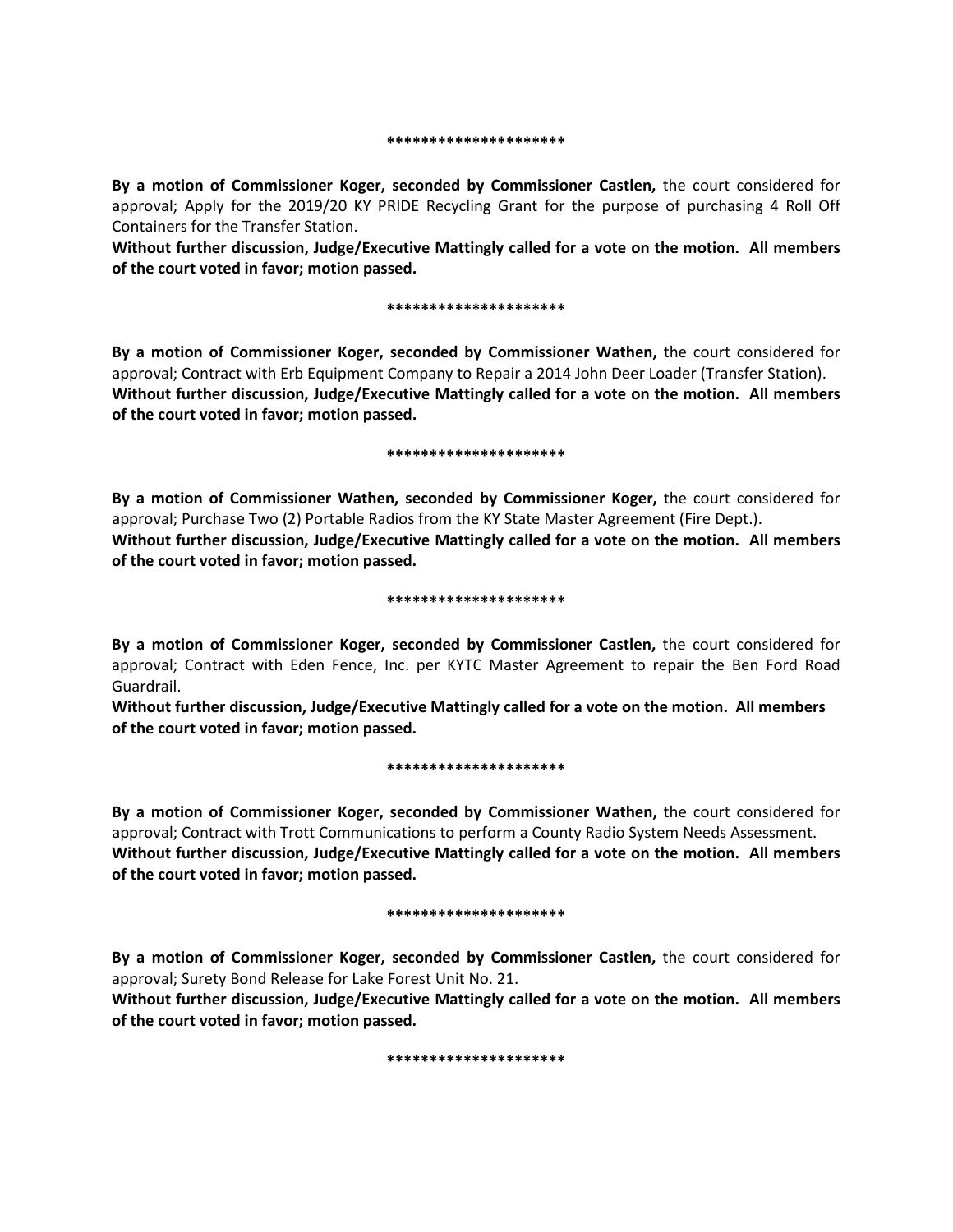#### **\*\*\*\*\*\*\*\*\*\*\*\*\*\*\*\*\*\*\*\*\***

**By a motion of Commissioner Koger, seconded by Commissioner Castlen,** the court considered for approval; Apply for the 2019/20 KY PRIDE Recycling Grant for the purpose of purchasing 4 Roll Off Containers for the Transfer Station.

**Without further discussion, Judge/Executive Mattingly called for a vote on the motion. All members of the court voted in favor; motion passed.** 

#### **\*\*\*\*\*\*\*\*\*\*\*\*\*\*\*\*\*\*\*\*\***

**By a motion of Commissioner Koger, seconded by Commissioner Wathen,** the court considered for approval; Contract with Erb Equipment Company to Repair a 2014 John Deer Loader (Transfer Station). **Without further discussion, Judge/Executive Mattingly called for a vote on the motion. All members of the court voted in favor; motion passed.** 

#### **\*\*\*\*\*\*\*\*\*\*\*\*\*\*\*\*\*\*\*\*\***

**By a motion of Commissioner Wathen, seconded by Commissioner Koger,** the court considered for approval; Purchase Two (2) Portable Radios from the KY State Master Agreement (Fire Dept.). **Without further discussion, Judge/Executive Mattingly called for a vote on the motion. All members of the court voted in favor; motion passed.** 

## **\*\*\*\*\*\*\*\*\*\*\*\*\*\*\*\*\*\*\*\*\***

**By a motion of Commissioner Koger, seconded by Commissioner Castlen,** the court considered for approval; Contract with Eden Fence, Inc. per KYTC Master Agreement to repair the Ben Ford Road Guardrail.

**Without further discussion, Judge/Executive Mattingly called for a vote on the motion. All members of the court voted in favor; motion passed.** 

## **\*\*\*\*\*\*\*\*\*\*\*\*\*\*\*\*\*\*\*\*\***

**By a motion of Commissioner Koger, seconded by Commissioner Wathen,** the court considered for approval; Contract with Trott Communications to perform a County Radio System Needs Assessment. **Without further discussion, Judge/Executive Mattingly called for a vote on the motion. All members of the court voted in favor; motion passed.** 

#### **\*\*\*\*\*\*\*\*\*\*\*\*\*\*\*\*\*\*\*\*\***

**By a motion of Commissioner Koger, seconded by Commissioner Castlen,** the court considered for approval; Surety Bond Release for Lake Forest Unit No. 21.

**Without further discussion, Judge/Executive Mattingly called for a vote on the motion. All members of the court voted in favor; motion passed.** 

#### **\*\*\*\*\*\*\*\*\*\*\*\*\*\*\*\*\*\*\*\*\***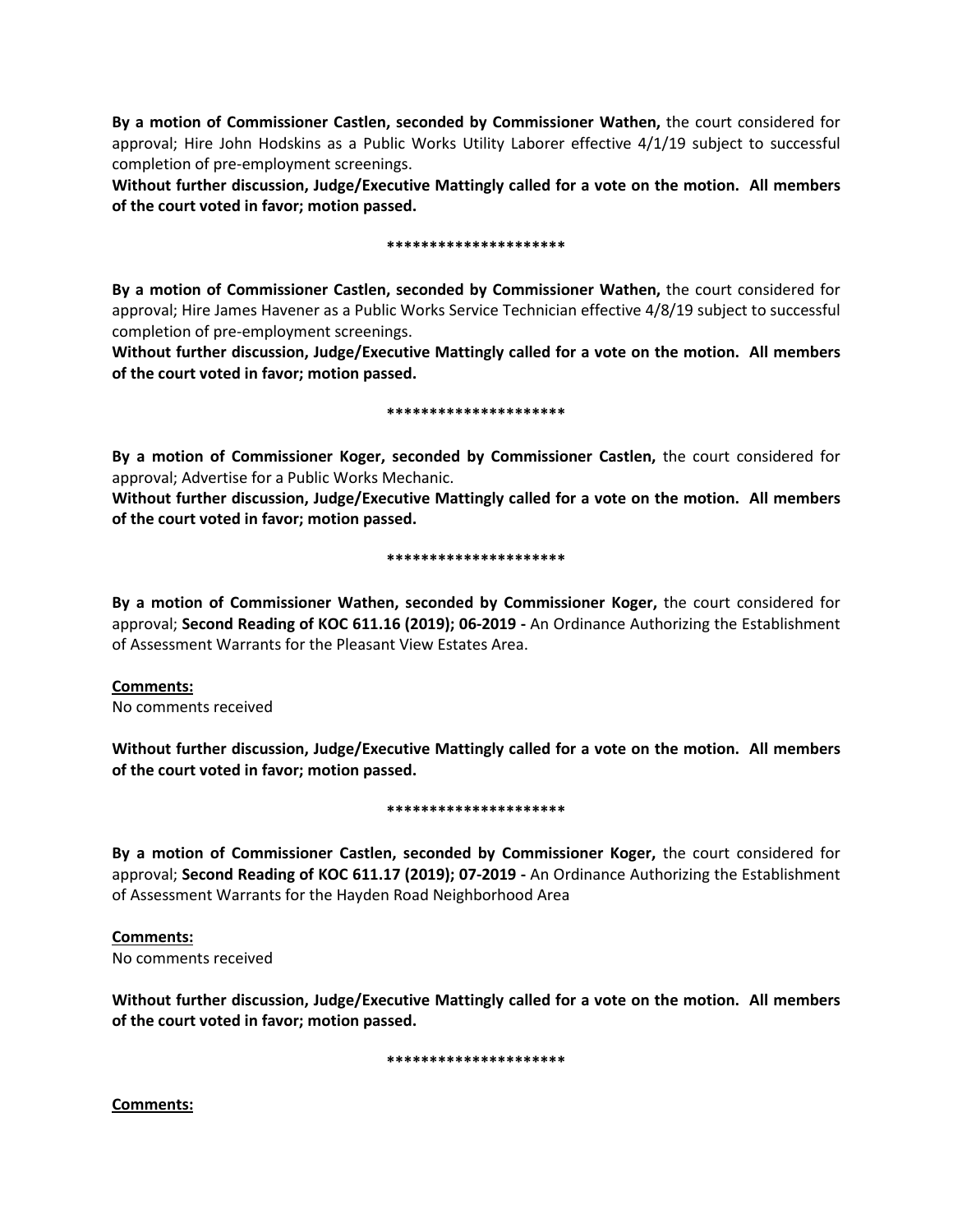**By a motion of Commissioner Castlen, seconded by Commissioner Wathen,** the court considered for approval; Hire John Hodskins as a Public Works Utility Laborer effective 4/1/19 subject to successful completion of pre-employment screenings.

**Without further discussion, Judge/Executive Mattingly called for a vote on the motion. All members of the court voted in favor; motion passed.** 

## **\*\*\*\*\*\*\*\*\*\*\*\*\*\*\*\*\*\*\*\*\***

**By a motion of Commissioner Castlen, seconded by Commissioner Wathen,** the court considered for approval; Hire James Havener as a Public Works Service Technician effective 4/8/19 subject to successful completion of pre-employment screenings.

**Without further discussion, Judge/Executive Mattingly called for a vote on the motion. All members of the court voted in favor; motion passed.** 

## **\*\*\*\*\*\*\*\*\*\*\*\*\*\*\*\*\*\*\*\*\***

**By a motion of Commissioner Koger, seconded by Commissioner Castlen,** the court considered for approval; Advertise for a Public Works Mechanic.

**Without further discussion, Judge/Executive Mattingly called for a vote on the motion. All members of the court voted in favor; motion passed.** 

## **\*\*\*\*\*\*\*\*\*\*\*\*\*\*\*\*\*\*\*\*\***

**By a motion of Commissioner Wathen, seconded by Commissioner Koger,** the court considered for approval; **Second Reading of KOC 611.16 (2019); 06-2019 -** An Ordinance Authorizing the Establishment of Assessment Warrants for the Pleasant View Estates Area.

# **Comments:**

No comments received

**Without further discussion, Judge/Executive Mattingly called for a vote on the motion. All members of the court voted in favor; motion passed.** 

## **\*\*\*\*\*\*\*\*\*\*\*\*\*\*\*\*\*\*\*\*\***

**By a motion of Commissioner Castlen, seconded by Commissioner Koger,** the court considered for approval; **Second Reading of KOC 611.17 (2019); 07-2019 -** An Ordinance Authorizing the Establishment of Assessment Warrants for the Hayden Road Neighborhood Area

**Comments:** No comments received

**Without further discussion, Judge/Executive Mattingly called for a vote on the motion. All members of the court voted in favor; motion passed.** 

**\*\*\*\*\*\*\*\*\*\*\*\*\*\*\*\*\*\*\*\*\***

**Comments:**